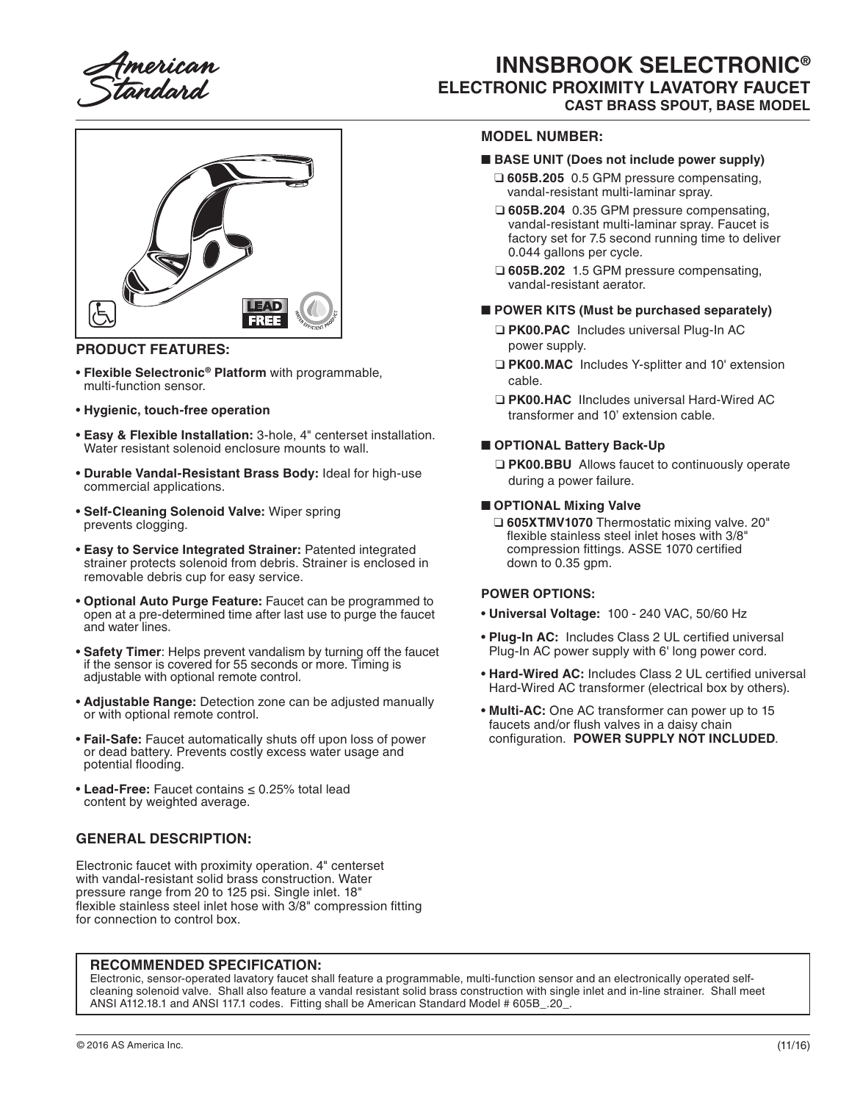

# **INNSBROOK SELECTRONIC® ELECTRONIC PROXIMITY LAVATORY FAUCET CAST BRASS SPOUT, BASE MODEL**



## **PRODUCT FEATURES:**

- **Flexible Selectronic® Platform** with programmable, multi-function sensor.
- **Hygienic, touch-free operation**
- **Easy & Flexible Installation:** 3-hole, 4" centerset installation. Water resistant solenoid enclosure mounts to wall.
- **Durable Vandal-Resistant Brass Body:** Ideal for high-use commercial applications.
- **Self-Cleaning Solenoid Valve:** Wiper spring prevents clogging.
- **Easy to Service Integrated Strainer:** Patented integrated strainer protects solenoid from debris. Strainer is enclosed in removable debris cup for easy service.
- **Optional Auto Purge Feature:** Faucet can be programmed to open at a pre-determined time after last use to purge the faucet and water lines.
- **Safety Timer**: Helps prevent vandalism by turning off the faucet if the sensor is covered for 55 seconds or more. Timing is adjustable with optional remote control.
- **Adjustable Range:** Detection zone can be adjusted manually or with optional remote control.
- **Fail-Safe:** Faucet automatically shuts off upon loss of power or dead battery. Prevents costly excess water usage and potential flooding.
- **Lead-Free:** Faucet contains ≤ 0.25% total lead content by weighted average.

# **GENERAL DESCRIPTION:**

Electronic faucet with proximity operation. 4" centerset with vandal-resistant solid brass construction. Water pressure range from 20 to 125 psi. Single inlet. 18" flexible stainless steel inlet hose with 3/8" compression fitting for connection to control box.

## **MODEL NUMBER:**

#### ■ **BASE UNIT (Does not include power supply)**

- ❑ **605B.205** 0.5 GPM pressure compensating, vandal-resistant multi-laminar spray.
- ❑ **605B.204** 0.35 GPM pressure compensating, vandal-resistant multi-laminar spray. Faucet is factory set for 7.5 second running time to deliver 0.044 gallons per cycle.
- ❑ **605B.202** 1.5 GPM pressure compensating, vandal-resistant aerator.

#### ■ **POWER KITS (Must be purchased separately)**

- ❑ **PK00.PAC** Includes universal Plug-In AC power supply.
- ❑ **PK00.MAC** Includes Y-splitter and 10' extension cable.
- ❑ **PK00.HAC** IIncludes universal Hard-Wired AC transformer and 10' extension cable.

#### ■ **OPTIONAL Battery Back-Up**

❑ **PK00.BBU** Allows faucet to continuously operate during a power failure.

#### ■ **OPTIONAL Mixing Valve**

❑ **605XTMV1070** Thermostatic mixing valve. 20" flexible stainless steel inlet hoses with 3/8" compression fittings. ASSE 1070 certified down to 0.35 gpm.

#### **POWER OPTIONS:**

- **Universal Voltage:** 100 240 VAC, 50/60 Hz
- **Plug-In AC:** Includes Class 2 UL certified universal Plug-In AC power supply with 6' long power cord.
- **Hard-Wired AC:** Includes Class 2 UL certified universal Hard-Wired AC transformer (electrical box by others).
- **Multi-AC:** One AC transformer can power up to 15 faucets and/or flush valves in a daisy chain configuration. **POWER SUPPLY NOT INCLUDED**.

#### **RECOMMENDED SPECIFICATION:**

Electronic, sensor-operated lavatory faucet shall feature a programmable, multi-function sensor and an electronically operated selfcleaning solenoid valve. Shall also feature a vandal resistant solid brass construction with single inlet and in-line strainer. Shall meet ANSI A112.18.1 and ANSI 117.1 codes. Fitting shall be American Standard Model # 605B\_.20\_.